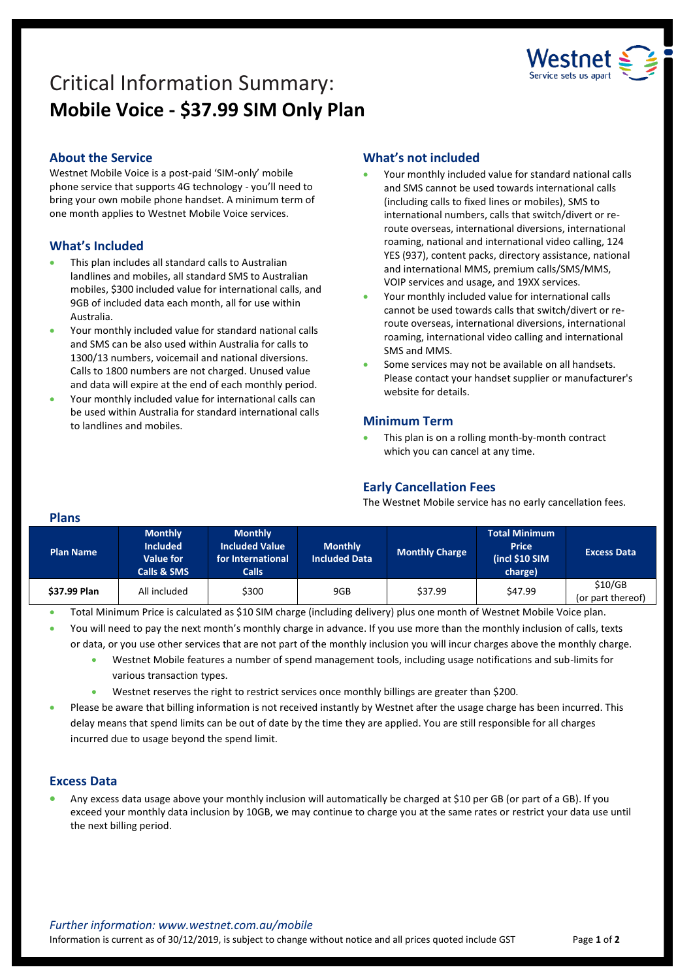

# Critical Information Summary: **Mobile Voice - \$37.99 SIM Only Plan**

# **About the Service**

Westnet Mobile Voice is a post-paid 'SIM-only' mobile phone service that supports 4G technology - you'll need to bring your own mobile phone handset. A minimum term of one month applies to Westnet Mobile Voice services.

# **What's Included**

- This plan includes all standard calls to Australian landlines and mobiles, all standard SMS to Australian mobiles, \$300 included value for international calls, and 9GB of included data each month, all for use within Australia.
- Your monthly included value for standard national calls and SMS can be also used within Australia for calls to 1300/13 numbers, voicemail and national diversions. Calls to 1800 numbers are not charged. Unused value and data will expire at the end of each monthly period.
- Your monthly included value for international calls can be used within Australia for standard international calls to landlines and mobiles.

# **What's not included**

- Your monthly included value for standard national calls and SMS cannot be used towards international calls (including calls to fixed lines or mobiles), SMS to international numbers, calls that switch/divert or reroute overseas, international diversions, international roaming, national and international video calling, 124 YES (937), content packs, directory assistance, national and international MMS, premium calls/SMS/MMS, VOIP services and usage, and 19XX services.
- Your monthly included value for international calls cannot be used towards calls that switch/divert or reroute overseas, international diversions, international roaming, international video calling and international SMS and MMS.
- Some services may not be available on all handsets. Please contact your handset supplier or manufacturer's website for details.

# **Minimum Term**

 This plan is on a rolling month-by-month contract which you can cancel at any time.

# **Early Cancellation Fees**

The Westnet Mobile service has no early cancellation fees.

| <b>Plans</b>     |                                                                      |                                                                              |                                        |                       |                                                                    |                              |
|------------------|----------------------------------------------------------------------|------------------------------------------------------------------------------|----------------------------------------|-----------------------|--------------------------------------------------------------------|------------------------------|
| <b>Plan Name</b> | <b>Monthly</b><br><b>Included</b><br><b>Value for</b><br>Calls & SMS | <b>Monthly</b><br><b>Included Value</b><br>for International<br><b>Calls</b> | <b>Monthly</b><br><b>Included Data</b> | <b>Monthly Charge</b> | <b>Total Minimum</b><br><b>Price</b><br>(incl $$10$ SIM<br>charge) | <b>Excess Data</b>           |
| \$37.99 Plan     | All included                                                         | \$300                                                                        | 9GB                                    | \$37.99               | \$47.99                                                            | \$10/GB<br>(or part thereof) |

Total Minimum Price is calculated as \$10 SIM charge (including delivery) plus one month of Westnet Mobile Voice plan.

You will need to pay the next month's monthly charge in advance. If you use more than the monthly inclusion of calls, texts

or data, or you use other services that are not part of the monthly inclusion you will incur charges above the monthly charge.

- Westnet Mobile features a number of spend management tools, including usage notifications and sub-limits for various transaction types.
- Westnet reserves the right to restrict services once monthly billings are greater than \$200.
- Please be aware that billing information is not received instantly by Westnet after the usage charge has been incurred. This delay means that spend limits can be out of date by the time they are applied. You are still responsible for all charges incurred due to usage beyond the spend limit.

## **Excess Data**

 Any excess data usage above your monthly inclusion will automatically be charged at \$10 per GB (or part of a GB). If you exceed your monthly data inclusion by 10GB, we may continue to charge you at the same rates or restrict your data use until the next billing period.